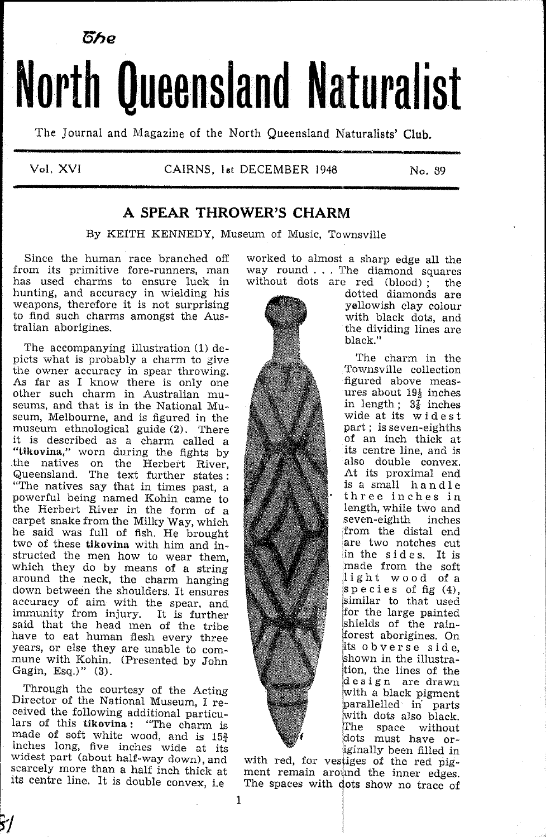

# North Queensland Naturalist

The Journal and Magazine of the North Queensland Naturalists' Club.

Vol. XVI

### CAIRNS, 1st DECEMBER 1948

No. 89

## A SPEAR THROWER'S CHARM

By KEITH KENNEDY, Museum of Music, Townsville

Since the human race branched off from its primitive fore-runners, man has used charms to ensure luck in hunting, and accuracy in wielding his weapons, therefore it is not surprising to find such charms amongst the Australian aborigines.

The accompanying illustration (1) depicts what is probably a charm to give the owner accuracy in spear throwing. As far as I know there is only one other such charm in Australian museums, and that is in the National Museum, Melbourne, and is figured in the museum ethnological guide (2). There it is described as a charm called a<br>it is described as a charm called a<br>"tikovina," worn during the fights by<br>the natives on the Herbert River,<br>Queensland. The text further states: "The natives say that in times past, a powerful being named Kohin came to the Herbert River in the form of a carpet snake from the Milky Way, which he said was full of fish. He brought two of these tikovina with him and instructed the men how to wear them, which they do by means of a string<br>around the neck, the charm hanging down between the shoulders. It ensures accuracy of aim with the spear, and<br>immunity from injury. It is further said that the head men of the tribe have to eat human flesh every three years, or else they are unable to commune with Kohin. (Presented by John Gagin, Esq.)" (3).

Through the courtesy of the Acting Director of the National Museum, I received the following additional particulars of this tikovina: "The charm is made of soft white wood, and is  $15\frac{3}{4}$ inches long, five inches wide at its widest part (about half-way down), and scarcely more than a half inch thick at its centre line. It is double convex, i.e

worked to almost a sharp edge all the way round . . . The diamond squares without dots are red (blood); the



dotted diamonds are yellowish clay colour with black dots, and the dividing lines are black."

The charm in the Townsville collection figured above measures about  $19\frac{1}{2}$  inches in length;  $3\frac{7}{8}$  inches<br>wide at its widest part; is seven-eighths of an inch thick at its centre line, and is also double convex. At its proximal end is a small handle three inches in length, while two and seven-eighth inches from the distal end are two notches cut in the sides. It is made from the soft light wood of a species of  $fig(4)$ . similar to that used for the large painted shields of the rainforest aborigines. On its obverse side. shown in the illustration, the lines of the design are drawn with a black pigment barallelled in parts with dots also black. The space without dots must have originally been filled in

with red, for vestiges of the red pigment remain around the inner edges. The spaces with dots show no trace of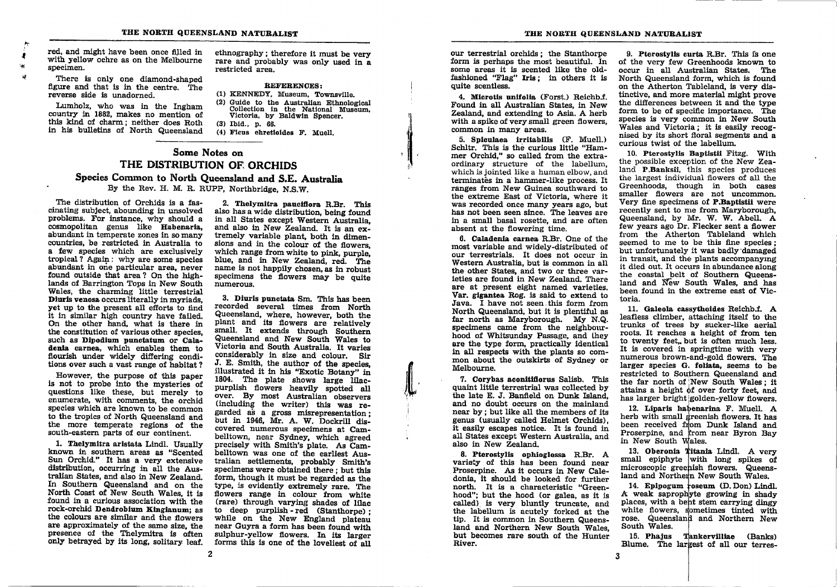red, and might have been once filled in with yellow ochre as on the Melbourne specimen.

There is only one diamond-shaped figure and that is in the centre. The reverse side is unadorned.

Lumholz, who was in the Ingham country in 1882, makes no mention of this kind of charm; neither does Roth in his bulletins of North Queensland

ethnography: therefore it must be very rare and probably was only used in a restricted area.

#### REFERENCES:

(1) KENNEDY, Museum, Townsville. (2) Guide to the Australian Ethnological Collection in the National Museum, Victoria, by Baldwin Spencer. (3) Ibid., p. 66.

(4) Ficus ehretioides F. Muell.

# Some Notes on THE DISTRIBUTION OF ORCHIDS Species Common to North Queensland and S.E. Australia

By the Rev. H. M. R. RUPP. Northbridge, N.S.W.

The distribution of Orchids is a fascinating subject, abounding in unsolved problems. For instance, why should a cosmopolitan genus like Habenaria, abundant in temperate zones in so many countries, be restricted in Australia to a few species which are exclusively tropical? Again: why are some species abundant in one particular area, never found outside that area? On the highlands of Barrington Tops in New South Wales, the charming little terrestrial Diuris venosa occurs literally in myriads. vet up to the present all efforts to find it in similar high country have failed. On the other hand, what is there in the constitution of various other species, such as Dipodium punctatum or Caladenia carnea, which enables them to flourish under widely differing conditions over such a vast range of habitat?

However, the purpose of this paper is not to probe into the mysteries of questions like these, but merely to enumerate, with comments, the orchid species which are known to be common to the tropics of North Queensland and the more temperate regions of the south-eastern parts of our continent.

1. Thelymitra aristata Lindl. Usually known in southern areas as "Scented Sun Orchid." It has a very extensive distribution, occurring in all the Australian States, and also in New Zealand. In Southern Queensland and on the North Coast of New South Wales, it is found in a curious association with the rock-orchid Dendrobium Kingianum: as the colours are similar and the flowers are approximately of the same size, the presence of the Thelymitra is often only betrayed by its long, solitary leaf.

2. Thelymitra pauciflora R.Br. This also has a wide distribution, being found in all States except Western Australia. and also in New Zealand. It is an extremely variable plant, both in dimensions and in the colour of the flowers. which range from white to pink, purple. blue, and in New Zealand, red. The name is not happily chosen as in robust specimens the flowers may be quite numerous.

3. Diuris punctata Sm. This has been recorded several times from North Queensland, where, however, both the plant and its flowers are relatively small. It extends through Southern Queensland and New South Wales to Victoria and South Australia. It varies considerably in size and colour. Sir J. E. Smith, the author of the species. illustrated it in his "Exotic Botany" in 1804. The plate shows large lilacpurplish flowers heavily spotted all over. By most Australian observers (including the writer) this was regarded as a gross misrepresentation: but in 1946. Mr. A. W. Dockrill discovered numerous specimens at Cambelltown, near Sydney, which agreed precisely with Smith's plate. As Cambelltown was one of the earliest Australian settlements, probably Smith's specimens were obtained there: but this form, though it must be regarded as the type, is evidently extremely rare. The flowers range in colour from white (rare) through varying shades of lilac to deep purplish-red (Stanthorne): while on the New England plateau near Guyra a form has been found with sulphur-yellow flowers. In its larger forms this is one of the loveliest of all

 $\overline{2}$ 

our terrestrial orchids: the Stanthorpe form is perhaps the most beautiful. In some areas it is scented like the oldfashioned "Flag" Iris: in others it is quite scentless.

4. Microtis unifolia (Forst.) Reichb.f. Found in all Australian States, in New Zealand, and extending to Asia, A herb with a spike of very small green flowers. common in many areas.

5. Spieulaea irritabilis (F. Muell.) Schltr. This is the curious little "Hammer Orchid." so called from the extraordinary structure of the labellum. which is jointed like a human elbow, and terminates in a hammer-like process. It ranges from New Guinea southward to the extreme East of Victoria, where it was recorded once many years ago, but has not been seen since. The leaves are in a small basal rosette, and are often absent at the flowering time.

6. Caladenia carnea R.Br. One of the most variable and widely-distributed of our terrestrials. It does not occur in Western Australia, but is common in all the other States, and two or three varieties are found in New Zealand. There are at present eight named varieties. Var. gigantea Rog. is said to extend to Java. I have not seen this form from North Queensland, but it is plentiful as far north as Maryborough. My N.O. specimens came from the neighbourhood of Whitsunday Passage, and they are the type form, practically identical in all respects with the plants so common about the outskirts of Sydney or Melbourne.

7. Corvbas aconitifiorus Salisb. This quaint little terrestrial was collected by the late E. J. Banfield on Dunk Island. and no doubt occurs on the mainland near by; but like all the members of its genus (usually called Helmet Orchids). it easily escapes notice. It is found in all States except Western Australia, and also in New Zealand.

8. Pterostvlis onhioglossa R.Br. A variety of this has been found near Proserpine. As it occurs in New Caledonia, it should be looked for further north. It is a characteristic "Greenhood"; but the hood (or galea, as it is called) is very bluntly truncate, and the labellum is acutely forked at the tip. It is common in Southern Queensland and Northern New South Wales. but becomes rare south of the Hunter River.

9. Pterostylis curta R.Br. This is one of the very few Greenhoods known to occur in all Australian States. The North Queensland form, which is found on the Atherton Tableland, is very distinctive, and more material might prove the differences between it and the type form to be of specific importance. The species is very common in New South Wales and Victoria: it is easily recognised by its short floral segments and a curious twist of the labellum.

10. Pterostvlis Bantistii Fitzg. With the possible exception of the New Zealand P.Banksil, this species produces the largest individual flowers of all the Greenhoods, though in both cases smaller flowers are not uncommon. Very fine specimens of P.Bantistii were recently sent to me from Maryborough. Queensland, by Mr. W. W. Abell. A few years ago Dr. Flecker sent a flower from the Atherton Tableland which seemed to me to be this fine species: but unfortunately it was badly damaged in transit, and the plants accompanying it died out. It occurs in abundance along the coastal belt of Southern Queensland and New South Wales, and has been found in the extreme east of Victoria.

11. Galeola cassythoides Reichb.f. A leafless climber, attaching itself to the trunks of trees by sucker-like aerial roots. It reaches a height of from ten to twenty feet, but is often much less. It is covered in springtime with very numerous brown-and-gold flowers. The larger species G. foliata, seems to be restricted to Southern Queensland and the far north of New South Wales: it attains a height of over forty feet, and has larger bright golden-yellow flowers.

12. Liparis habenarina F. Muell. A herb with small greenish flowers. It has been received from Dunk Island and Proserpine, and from near Byron Bay in New South Wales.

13. Oberonia Titania Lindl. A very small epiphyte with long spikes of microscopic greenish flowers. Queensland and Northern New South Wales.

14. Epipogum roseum (D. Don) Lindl. A weak saprophyte growing in shady places, with a bent stem carrying dingy white flowers, sometimes tinted with rose. Queensland and Northern New South Wales.

15. Phaius Tankervilliae (Banks) Blume. The largest of all our terres-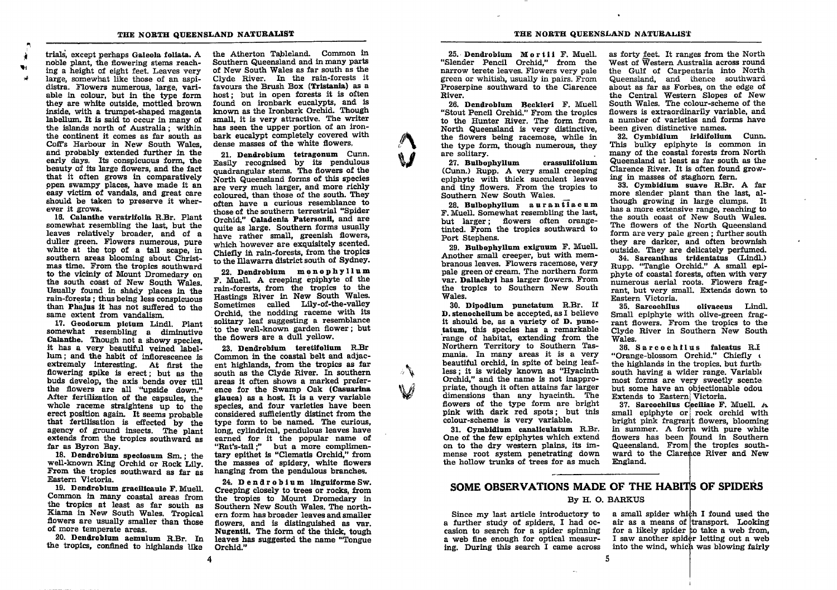#### THE NORTH QUEENSLAND NATURALIST THE NORTH QUEENSLAND NATURALIST

trials, except perhaps Galeola foliata. A noble plant, the flowering stems reaching a height of eight feet. Leaves very large, somewhat like those of an aspidistra. Flowers numerous, large, variable in colour, but in the type form they are white outside, mottled brown inside, with a trurnpet-shaped magenta labellum. It is said to occur in many of the islands north of Australia; within the confinent it comes as far south as Coff's Harbour in New South Wales. and probably extended further in the early days. Its conspicuous form, the beauty of its large flowers, and the fact that it often grows in comparatlvely open swampy places, have made it an easy victim of vandals, and great care should be taken to preserve it wherever it grows.

i tH r1

> 16. Calanthe veratrifolia R.Br. Plant somewhat resembling the last, but the leaves relatively broader, and of <sup>a</sup> duller green. Flowers numerous, pure white at the top of a tall scape, in southern areas blooming about Christmas time. From the tropics southward to the viciniy of Mount Dromedary on the south coast of New South Wales. Usually found in shady places in the rain-forests ; thus being less conspicuous than Phajus it has not suflered to the same extent from vandalism.

17. Geodorun ptotum Lindl. Plant somewhat resembling a diminutive Calanthe. Though not a showy species, it has a very beautiful veined label-<br>lum; and the habit of inflorescence is extremely interesting. At first the flowering spike is erect; but as the buds develop, the axis bends over the flowers are all "upside down." After fertilization of the capsules, the whole raceme straightens up to the erect position again. It seems probable that fertilisation is effected by the agency of ground insects. The plant extends from the tropics southward as far as Byron Bay.<br>18. Dendrobium speciosum Sm.; the

well-known King Orchid or Rock Lily.<br>From the tropics southward as far as Eastern Victoria.

19. Dendrobium gracilicaule F. Muell. Common in many coastal areas from the tropics at least as far south as Kiama in New South Wales. Tropical flowers are wually srnaller than those of more temperate areas.

20. Dendrobium aemulum R.Br. In the tropics, confined to highlands like

the Atherton Tableland. Common in Southern Queensland and in many parts of New South Wales as far south as the Clyde River. In the rain-forests it favours the Brush Box (Tristania) as a host; but in open forests it is often found on ironbark eucalypts, and is known as the Ironbark Orchid. Though small, it is very attractive. The writer has seen the upper portion of an ironbark eucalypt completely covered with dense masses of the white flowers.

21. Dendrobium tetragonum Cunn. Easily recognised by its pendulous quadrangular stems. The flowers of the North Queensland forms of this species are very much larger, and more richly coloured, than those of the south. They often have a curious resemblance to thoseof thesouthern terrestrial "Spider Orchid," Caladenia Patersonii, and are quite as large. Southern forms usually have rather small, greenish flowers, which however are exquisitely scented. Chiefly in rain-forests, from the tropics to the Illawarra district south of Sydney.

22. Dendrobium monophyllum F. Muell. A creeplng epiphyte of the rain-forests, from the tropics to the Hastings Rlver in New South 'Wales. Sometimes called Lily-of-the-valley Orchid, the nodding raceme with its solitary leaf suggesting a resemblance to the well-knowu garden flower; but the flowers are a dull Yellow.

23. Dendrobium teretifolium R.Br Common in the coastal belt and adjacent highlands, from tbe tropics as far south as the Clyde River. In southern areas it often shows a marked preference for the Swamp Oak (Casuarina glauca) as a host. It is a very variable specles, and four varleties have been considered sufficiently distinct from the type forrn to be named. The curious, long, cylindrical, pendulous leaves have earned for it the popular name of "Rat's-tail;" but a more complimentary epithet is "Clematis Orchid." from the masses of spidery, white flowers hanging from the pendulous branches.

24. Dendrobium linguiforme Sw. Creeping closely to trees or rocks, from the tropics to Mount Dromedary in Southern New South Wales. The northern form has broader leaves andsmaller flowers, and is distinguished as var. Nugentii. The form of the thick, tough leaves has suggested the name "Tongue Orchid."

25. Dendrobium Mortii F. Muell. "Slender Pencil Orchid," from the narrow terete leaves. Flowers very pale green or whitjsb, usually in pairs. From Proserpine southward to the Clarence River,

26. Dendrobium Beckleri F. Muell "Stout Pencil Orchid." From the tropics to the Hunter River. The form from North Queensland is very distinctive, the flowers being racemose, while in the type form, though numerous, they are solitary.

 $\int\limits_0^\infty$ 

 $\mathcal{J}_{\bm k}$ 

Mr

27. Bulbophyllum crassullfollun (Cunn.) Rupp. A very small creeping epiphyte with thick succulent leaves and tiny flowers. From the tropics to Southern New South Wales,

28. Butbophyllum aurantJacnn F. Muell. Somewhat resembling the last, but larger; flowers often orangetinted. From the tropics southward to Port Stephens.

29. Bulbophyllum exiguum F. Muell. Another small creeper, but with membranous leaves. Flowers racemose, very pale green or cream. The northern form var. Dallacbyl has larger flowers. From the tropics to Southern New South Wales.

30. Dipodium punctatum R.Br. If **D. stenochellum be accepted, as I believe it should be, as a variety of D. punc**tatum, this species has a remarkable range of habitat, extending from the Northern Territory to Southern Tasmania. In many areas it is a very beautiful orchid, in spite of being leafless; it is widely known as "Hyacinth Orchid." and the name is not inappropriate, though it often attains far larger dimensions than any hyacinth. The flowers of the type form are bright pink with dark red spots; but this colour-scheme is very variable.

31. Cymbidium canaliculatum R.Br. One of the few epiphytes which extend on to the dry western plains, its immense root system penetrating down the hollow trunks of trees for as much as forty feet. It ranges from the North West of Western Australia across round the Gulf of Carpentaria into North. Queensland, and thence southward about as far as Forbes, on the edge of the Central Western Slopes of New South Wales, The colour-scheme of the flowers is extraordinarily variable, and a number of varieties and forms have been given distinctive names.

32. Cymbidium iridifolium Cunn. This bulky epiphyte is common in many of the coastal forests from North Queensland at least as far south as the Clarence River. It is often found growing in masses of staghorn fern.

33. Cymbidium suave R.Br. A far more slender plant than the last, although growing in large clumps. It has a more extensive range, reaching to the south coast of New South Wales. The flowers of the North Queensland form are very pale green; further south they are darker, and often brownish outside. They are delicately perfumed 34. Sarcanthus tridentatus (Lindl.) Rupp. "Tangle Orchid." A small epiphyte of coastal forests, often with very numerous aerial roots. Flowers frag-

Eastern Victoria. olivaceus Lindl. Small epiphyte with olive-green fragrant flowers. From the tropics to the Clyde River in Southern New South<br>Wales.

rant, but very small. Extends down to

36. Sarcochllus falcatus R.I "Orange-blossom Orchid." Chiefly <sup>t</sup> the highlands in the tropics. but furlh, south having a wider range. Variable most forms are very sweetly scenter but some have an objectionable odou<br>Extends to Eastern Victoria.

37. Sarcochilus Ceciliae F. Muell.  $A$ small epiphyte or rock orchid with bright pink fragrant flowers, blooming<br>in summer. A form with pure white flowers has been flound in Southern Queensland. From the tropics southward to the Clarence River and New England.

# SOME OBSERVATIONS MADE OF THE HABITS OF SPIDERS

#### By H. O. BARKUS

Since my last article introductory to a further study of spiders, I had occasion to search for a spider spinning a web flne enough for optical measuring. During this search I came across

a small spider which I found used the air as a means of transport. Looking for a likely spider to take a web from,<br>I saw another spider letting out a web into the wind, which was blowing fairly I saw another spider letting out a web

4

 $5^{\circ}$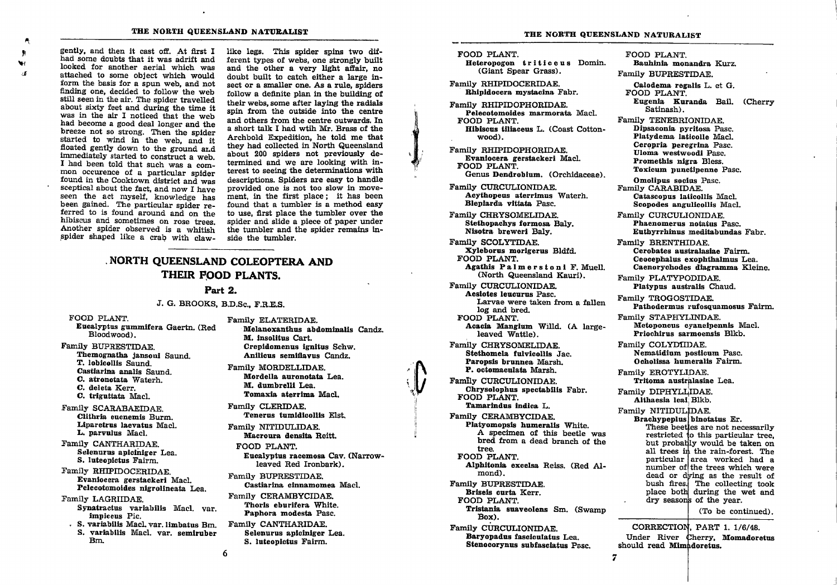gently, and then it cast off. At first I had some doubts that it was adrift and looked for another aerial which was attached to some object which would form the basis for a spun web, and not finding one, decided to follow the web still seen in the air. The spider travelled about sixty feet and during the time it was in the air I noticed that the web had become a good deal longer and the<br>breeze not so strong. Then the spider started to wind in the web, and it floated gently down to the ground and immediately started to construct a web. I had been told that such was a com-<br>mon occurence of a particular spider found in the Cooktown district and was sceptical about the fact, and now I have seen the act myself, knowledge has<br>been gained. The particular spider referred to is found around and on the hibiscus and sometimes on rose trees.<br>Another spider observed is a whitish spider shaped like a crab with claw-

4 F v  $55$ 

like legs. This spider spins two different types of webs, one strongly built and the other a very light affair, no doubt built to catch either a large iasect or a smaller one. As a rule, spiders follow a definite plan in the building of their webs, some after laying the radials spin from the outside into the centre and others from the centre outwards. In a short talk I had wtih Mr. Brass of the Archbold Expedition, he told me that they had collected in North Queensland about 200 spiders not previously determined and we are looking with interest to seeing the determinations with descriptions. Splders are easy to handle provided one is not too slow in movement, in the first place; it has been found that a tumbler is a method easy to use, flrst place the tumbler over the spider and sllde a piece of paper under the tumbler and the spider remains inside the tumbler.

# . NORTH QUEENSLAND COLEOPTERA AND THEIR FOOD PLANTS.

#### Part 2.

#### J. c. BROOKS, B.D.Sc., F.R.E.S.

- 
- Family BIJPRESTIDAE. Themognetha Jansoul Saund. T. loblcollls Saund. Castiarina analis Saund. C. atronotata Waterh. C. deleta Kerr. C. triguitata Macl.
- Famlly SCARABAEIDAE. Clithria eucnemis Burm. Liparetrus laevatus Macl. L. parvulue Macl.
- Family CANTHARIDAE. Selenurus apiciniger Lea. S. luteoplctus Fairm.

Family RHIPIDOCERIDAE. Evanlocera gerstaokerl Macl. Pelecotomoides nigrolineata Lea.

- Family LAGRIIDAE. Synatractus variabilis Macl. var. impleeus Pic.
	- " S. vartabllls MacL var. Ilmbatus Bm. S. variabilis Macl. var. semiruber Bm.

FOOD PLANT. FAMILY ELATERIDAE.<br> Family ELATERIDAE. Eucalyptus gummifera Gaertn. (Red Melanoxanthus abdominalis Candz. M. insolitus Cart. Crepidomenus ignitus Schw. Anilicus semiflayus Candz.

> Family MORDELLIDAE. Mordella auronotata Lea. M. dumbrelli Lea. Tomaxia aterrima Macl.

Famtly CLERIDAE. Tenerus tumidicollis Elst.

Family NITIDULIDAE. Macroura densita Reitt.

- FOOD PLANT. Euoalyptus racemosa Cav. (Narrowleaved Red lronbark).
- Family BUPRESTIDAE. Castiarina cinnamomea Macl. Family CERAMBYCIDAE. Thoris eburifera White. Paphora modesta Pasc.
- Family CANTHARIDAE. Selenurus apiciniger Lea. S. lutooplctus Falrm.

FOOD PLANT.

l

 $\cdot$  ,

Heteropogon triticeus Domin.<br>
(Giant Spear Grass).

Family RHIPIDOCERIDAE. Rhinidocera mystacina Fabr.

- Family RHIPIDOPHORIDAE. Pelecotonoldes marnorata MacL FOOD PLANT. Hibisous tiliaceus L. (Coast Cottonwood).
- Family RIIIPIDOPHORIDAE. Evanlocera gerstackeri Macl. FOOD PLANT. Genus Dendrobium. (Orchidaceae).
- Family CURCULIONIDAE. Aoythopeus aterrlmus Waterh. Blepiarda vittata Pasc.
- Family CHRYSOMELIDAE. Stethopaohys formosa Baly. Nisotra breweri Baly.

Family SCOLYTIDAE. Xyloborus morlgerus Bldfd. FOOD PLANT. Agathis Palrnorstont F. Muell. (North Queensland Kauri).

- Family CURCULIONIDAE. Asslotos louourus Pasc, Larvae were taken from a fallen
- Iog and bred. FOOD PLANT. Aoacla Manglum Willd. (A largeleaved Wattle).

Family CHRYSOMELIDAE. Stethomela fulvicollis Jac. Paropsis brunnea Marsh. P. ootomaoulata Marsh.

Famlly CURCULIONIDAE. Chrysolophus spectabilis Fabr. FOOD PLANT. Tamarindus indica L.

Family CERAMBYCIDAE.<br>Platyomopsis humeralis White. A specimen of this beetle was bred from a dead branch of the tree, FOOD PLANT. Alphitonia excelsa Reiss. (Red Almond). Family BIIPRESTIDAE. Briseis curta Kerr. FOOD PLANT. Tristania suaveolens Sm. (Swamp Box). Family CURCULIONIDAE.

Baryopadus fasciculatus Lea. Stenocorynus subfasciatus Pasc.

FOOD PLANT. Bauhinia monandra Kurz. Family BUPRESTIDAE.

Calodema regalis L. et G. FOOD PLANT. Eugenia Kuranda Bail. (Cherry

Satinash). Family TENEBRIONIDAE.

Dipsaconia pyritosa Pasc. Platydema laticolle Macl. Ceropria peregrina Pasc. Uloma westwoodi Pasc. Promethis nigra Bless. Toxicum punctinenne Pasc.

0molipus soolus Pasc, Family CARABIDAE. Catascopus laticollis Macl. Scopodes angulicollis Macl.

Family CURCULIONIDAE. Phaenomerus notatus Pasc. Euthyrrhinus meditabundas Fabr.

Family BRENTHIDAE. Cerobates australasiae Fairm. Ceocephalus exophthalmus Lea. Caenorychodes diagramma Kleine.

Family PLATYPODIDAE. Platypus australis Chaud.

Family TROGOSTIDAE. Pathodermus rufosquamosus Fairm.

Family STAPHYLINDAE. Metoponcus cyaneipennis Macl. Prioohlrus sarmoensis Blkb.

Family COLYDIIDAE. Nematidium posticum Pasc. Ocholissa humeralis Fairm.

Family EROTYLIDAE. Tritoma australasiae Lea.

Family DIPHYLLIDAE. Althaesla leal; Blkb.

Family NITIDULIDAE. Brachypeplus binotatus Er.

These beetles are not necessarily restricted to this particular tree, but probably would be taken on all trees in the rain-forest. The particular area worked had a number of the trees which were dead or dying as the result of bush fires. The collecting took place both during the wet and dry seasons of the year.

(To be continued).

CORRECTION, PART 1. 1/6/48. Under River Cherry, Momadoretus<br>should read Mimadoretus.